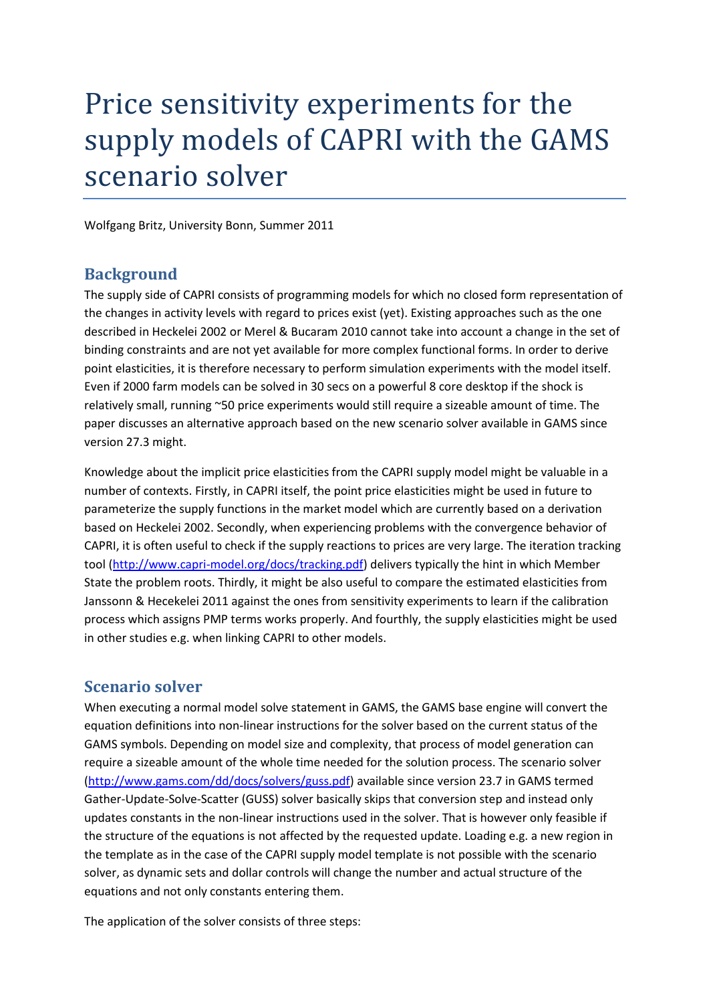# Price sensitivity experiments for the supply models of CAPRI with the GAMS scenario solver

Wolfgang Britz, University Bonn, Summer 2011

### **Background**

The supply side of CAPRI consists of programming models for which no closed form representation of the changes in activity levels with regard to prices exist (yet). Existing approaches such as the one described in Heckelei 2002 or Merel & Bucaram 2010 cannot take into account a change in the set of binding constraints and are not yet available for more complex functional forms. In order to derive point elasticities, it is therefore necessary to perform simulation experiments with the model itself. Even if 2000 farm models can be solved in 30 secs on a powerful 8 core desktop if the shock is relatively small, running ~50 price experiments would still require a sizeable amount of time. The paper discusses an alternative approach based on the new scenario solver available in GAMS since version 27.3 might.

Knowledge about the implicit price elasticities from the CAPRI supply model might be valuable in a number of contexts. Firstly, in CAPRI itself, the point price elasticities might be used in future to parameterize the supply functions in the market model which are currently based on a derivation based on Heckelei 2002. Secondly, when experiencing problems with the convergence behavior of CAPRI, it is often useful to check if the supply reactions to prices are very large. The iteration tracking tool [\(http://www.capri-model.org/docs/tracking.pdf\)](http://www.capri-model.org/docs/tracking.pdf) delivers typically the hint in which Member State the problem roots. Thirdly, it might be also useful to compare the estimated elasticities from Janssonn & Hecekelei 2011 against the ones from sensitivity experiments to learn if the calibration process which assigns PMP terms works properly. And fourthly, the supply elasticities might be used in other studies e.g. when linking CAPRI to other models.

### **Scenario solver**

When executing a normal model solve statement in GAMS, the GAMS base engine will convert the equation definitions into non-linear instructions for the solver based on the current status of the GAMS symbols. Depending on model size and complexity, that process of model generation can require a sizeable amount of the whole time needed for the solution process. The scenario solver [\(http://www.gams.com/dd/docs/solvers/guss.pdf\)](http://www.gams.com/dd/docs/solvers/guss.pdf) available since version 23.7 in GAMS termed Gather-Update-Solve-Scatter (GUSS) solver basically skips that conversion step and instead only updates constants in the non-linear instructions used in the solver. That is however only feasible if the structure of the equations is not affected by the requested update. Loading e.g. a new region in the template as in the case of the CAPRI supply model template is not possible with the scenario solver, as dynamic sets and dollar controls will change the number and actual structure of the equations and not only constants entering them.

The application of the solver consists of three steps: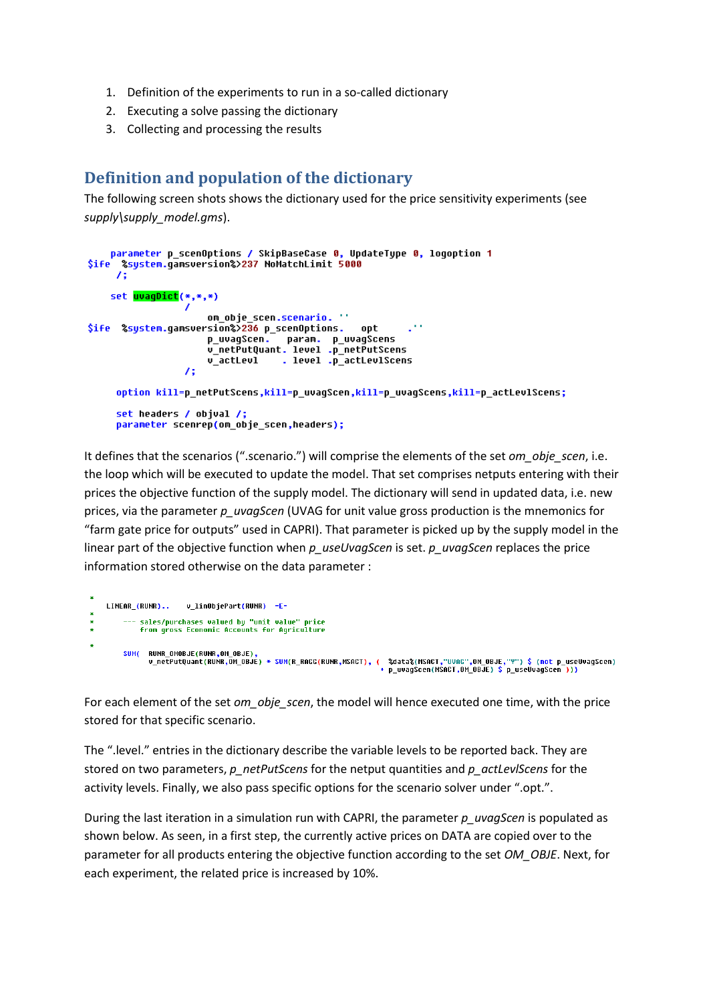- 1. Definition of the experiments to run in a so-called dictionary
- 2. Executing a solve passing the dictionary
- 3. Collecting and processing the results

## **Definition and population of the dictionary**

The following screen shots shows the dictionary used for the price sensitivity experiments (see *supply\supply\_model.gms*).

```
parameter p_scenOptions / SkipBaseCase 0, UpdateType 0, logoption 1
$ife %system.gamsversion%>237 NoMatchLimit 5000
     75
    set <mark>uvagDict</mark>(*,*,*)
                       om_obje_scen.scenario. ''
$ife %system.gamsversion%>236 p_scenOptions.
                                                     opt
                       p_uvagScen. param. p_uvagScens<br>v_netPutQuant. level .p_netPutScens
                       v_actLevl . level .p_actLevlScens
                   \lambda :
     option kill=p_netPutScens,kill=p_uvagScen,kill=p_uvagScens,kill=p_actLevlScens;
     set headers / objval /;
     parameter scenrep(om_obje_scen,headers);
```
It defines that the scenarios (".scenario.") will comprise the elements of the set *om\_obje\_scen*, i.e. the loop which will be executed to update the model. That set comprises netputs entering with their prices the objective function of the supply model. The dictionary will send in updated data, i.e. new prices, via the parameter *p\_uvagScen* (UVAG for unit value gross production is the mnemonics for "farm gate price for outputs" used in CAPRI). That parameter is picked up by the supply model in the linear part of the objective function when *p\_useUvagScen* is set. *p\_uvagScen* replaces the price information stored otherwise on the data parameter :

```
LINEAR (RUNR)..
                              v linObiePart(RUNR) =E=
\ddot{\phantom{1}}--- sales/purchases valued by "unit value" price
               From gross Economic Accounts for Agriculture
          SUM( RUNR OMOBJE(RUNR, OM OBJE)
                   кимк_имиsJe(кимк,им_ивJe),<br>u_netPutQuant(RUNR,OM_OBJE) * SUM(R_RAGG(RUNR,MSACT), (  %data%(MSACT,"UVAG",OM_OBJE,"Y") $ (not p_useUvagScen)<br>+ p_uvagScen(MSACT,OM_OBJE) $ p_useUvagScen )))
```
For each element of the set *om\_obje\_scen*, the model will hence executed one time, with the price stored for that specific scenario.

The ".level." entries in the dictionary describe the variable levels to be reported back. They are stored on two parameters, *p\_netPutScens* for the netput quantities and *p\_actLevlScens* for the activity levels. Finally, we also pass specific options for the scenario solver under ".opt.".

During the last iteration in a simulation run with CAPRI, the parameter *p\_uvagScen* is populated as shown below. As seen, in a first step, the currently active prices on DATA are copied over to the parameter for all products entering the objective function according to the set *OM\_OBJE*. Next, for each experiment, the related price is increased by 10%.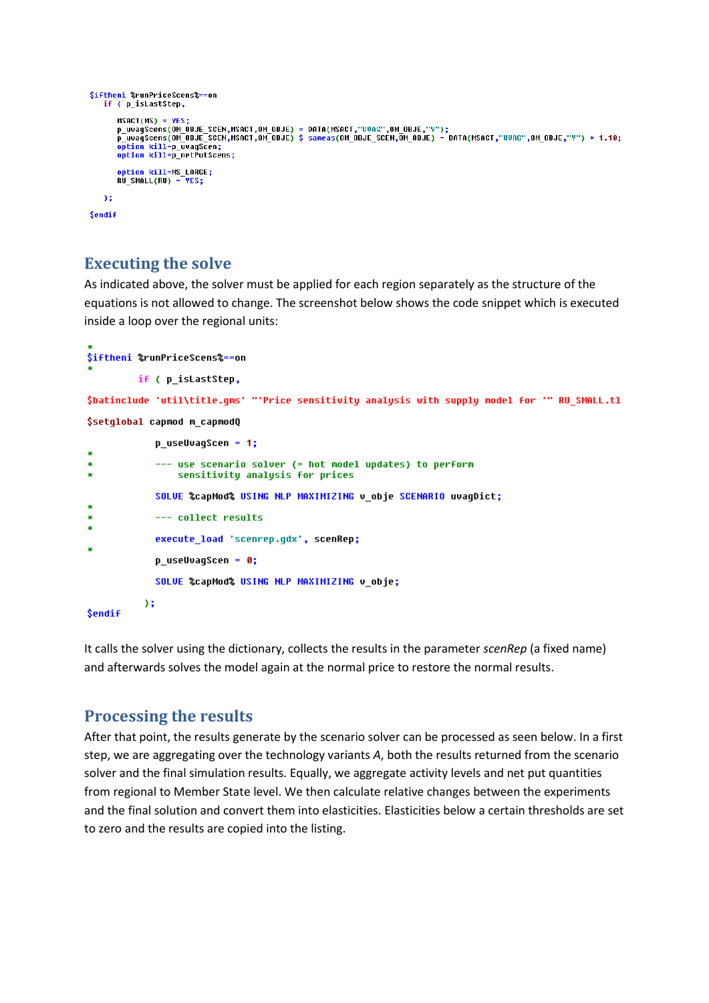```
$iftheni %runPriceScens%==on
    if ( p_isLastStep,
         MSACT(MS) = YESmsHCT(ms) = YES;<br>p_uvagScens(OM_OBJE_SCEN,MSACT,OM_OBJE) = DATA(MSACT,"UVAG",OM_OBJE,"Y");<br>p_uvagScens(OM_OBJE_SCEN,MSACT,OM_OBJE) $ sameas(OM_OBJE_SCEN,OM_OBJE) = DATA(MSACT,"UVAG",OM_OBJE,"Y") * 1.10;
           ption kill=p_uvagScen;
         option kill=p netPutScens:
        option kill=MS_LARGE;<br>RU_SMALL(RU) = <mark>YES;</mark>
    \Delta z$endif
```
### **Executing the solve**

As indicated above, the solver must be applied for each region separately as the structure of the equations is not allowed to change. The screenshot below shows the code snippet which is executed inside a loop over the regional units:

```
$iftheni %runPriceScens%==on
         if ( p_isLastStep,
$batinclude 'util\title.gms' "'Price sensitivity analysis with supply model for '" RU_SMALL.tl
$setglobal capmod m_capmodQ
            p_useUvagScen = 1;
æ
            --- use scenario solver (= hot model updates) to perform
                sensitivity analysis for prices
            SOLUE %capMod% USING NLP MAXIMIZING v_obje SCENARIO uvagDict;
¥
            --- collect results
            execute_load 'scenrep.gdx', scenRep;
æ
            p_useUvagScen = 0;
            SOLVE %capMod% USING MLP MAXIMIZING v obje;
          );
```
#### **\$endif**

It calls the solver using the dictionary, collects the results in the parameter *scenRep* (a fixed name) and afterwards solves the model again at the normal price to restore the normal results.

#### **Processing the results**

After that point, the results generate by the scenario solver can be processed as seen below. In a first step, we are aggregating over the technology variants *A*, both the results returned from the scenario solver and the final simulation results. Equally, we aggregate activity levels and net put quantities from regional to Member State level. We then calculate relative changes between the experiments and the final solution and convert them into elasticities. Elasticities below a certain thresholds are set to zero and the results are copied into the listing.